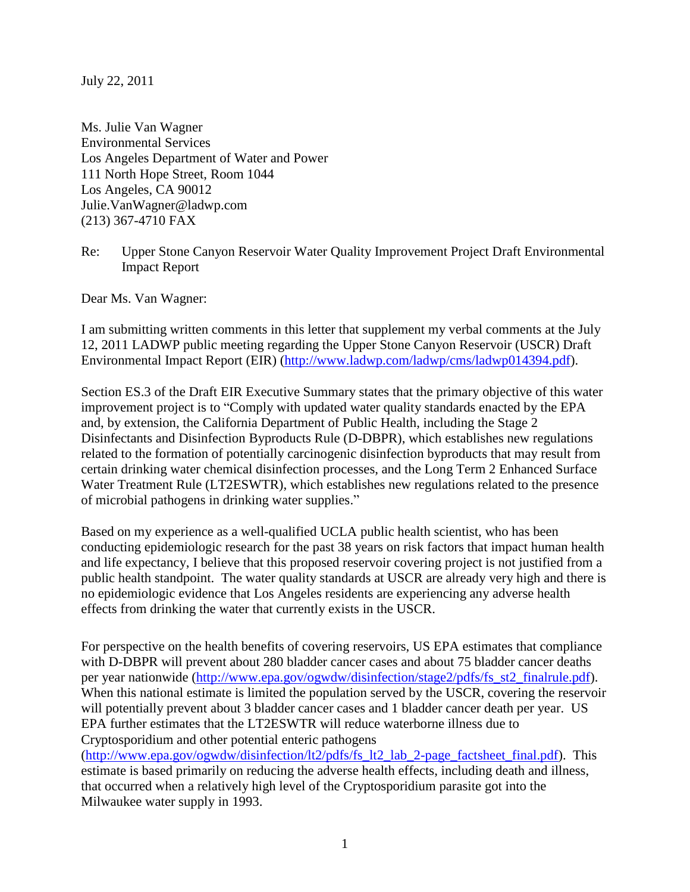July 22, 2011

Ms. Julie Van Wagner Environmental Services Los Angeles Department of Water and Power 111 North Hope Street, Room 1044 Los Angeles, CA 90012 Julie.VanWagner@ladwp.com (213) 367-4710 FAX

Re: Upper Stone Canyon Reservoir Water Quality Improvement Project Draft Environmental Impact Report

Dear Ms. Van Wagner:

I am submitting written comments in this letter that supplement my verbal comments at the July 12, 2011 LADWP public meeting regarding the Upper Stone Canyon Reservoir (USCR) Draft Environmental Impact Report (EIR) [\(http://www.ladwp.com/ladwp/cms/ladwp014394.pdf\)](http://www.ladwp.com/ladwp/cms/ladwp014394.pdf).

Section ES.3 of the Draft EIR Executive Summary states that the primary objective of this water improvement project is to "Comply with updated water quality standards enacted by the EPA and, by extension, the California Department of Public Health, including the Stage 2 Disinfectants and Disinfection Byproducts Rule (D-DBPR), which establishes new regulations related to the formation of potentially carcinogenic disinfection byproducts that may result from certain drinking water chemical disinfection processes, and the Long Term 2 Enhanced Surface Water Treatment Rule (LT2ESWTR), which establishes new regulations related to the presence of microbial pathogens in drinking water supplies."

Based on my experience as a well-qualified UCLA public health scientist, who has been conducting epidemiologic research for the past 38 years on risk factors that impact human health and life expectancy, I believe that this proposed reservoir covering project is not justified from a public health standpoint. The water quality standards at USCR are already very high and there is no epidemiologic evidence that Los Angeles residents are experiencing any adverse health effects from drinking the water that currently exists in the USCR.

For perspective on the health benefits of covering reservoirs, US EPA estimates that compliance with D-DBPR will prevent about 280 bladder cancer cases and about 75 bladder cancer deaths per year nationwide [\(http://www.epa.gov/ogwdw/disinfection/stage2/pdfs/fs\\_st2\\_finalrule.pdf\)](http://www.epa.gov/ogwdw/disinfection/stage2/pdfs/fs_st2_finalrule.pdf). When this national estimate is limited the population served by the USCR, covering the reservoir will potentially prevent about 3 bladder cancer cases and 1 bladder cancer death per year. US EPA further estimates that the LT2ESWTR will reduce waterborne illness due to Cryptosporidium and other potential enteric pathogens

[\(http://www.epa.gov/ogwdw/disinfection/lt2/pdfs/fs\\_lt2\\_lab\\_2-page\\_factsheet\\_final.pdf\)](http://www.epa.gov/ogwdw/disinfection/lt2/pdfs/fs_lt2_lab_2-page_factsheet_final.pdf). This estimate is based primarily on reducing the adverse health effects, including death and illness, that occurred when a relatively high level of the Cryptosporidium parasite got into the Milwaukee water supply in 1993.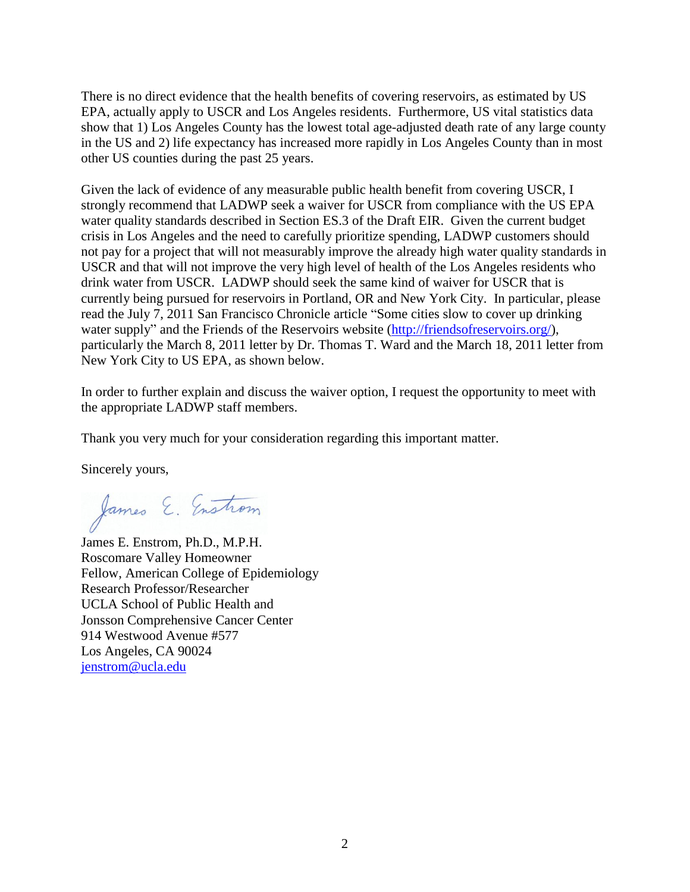There is no direct evidence that the health benefits of covering reservoirs, as estimated by US EPA, actually apply to USCR and Los Angeles residents. Furthermore, US vital statistics data show that 1) Los Angeles County has the lowest total age-adjusted death rate of any large county in the US and 2) life expectancy has increased more rapidly in Los Angeles County than in most other US counties during the past 25 years.

Given the lack of evidence of any measurable public health benefit from covering USCR, I strongly recommend that LADWP seek a waiver for USCR from compliance with the US EPA water quality standards described in Section ES.3 of the Draft EIR. Given the current budget crisis in Los Angeles and the need to carefully prioritize spending, LADWP customers should not pay for a project that will not measurably improve the already high water quality standards in USCR and that will not improve the very high level of health of the Los Angeles residents who drink water from USCR. LADWP should seek the same kind of waiver for USCR that is currently being pursued for reservoirs in Portland, OR and New York City. In particular, please read the July 7, 2011 San Francisco Chronicle article "Some cities slow to cover up drinking water supply" and the Friends of the Reservoirs website [\(http://friendsofreservoirs.org/\)](http://friendsofreservoirs.org/), particularly the March 8, 2011 letter by Dr. Thomas T. Ward and the March 18, 2011 letter from New York City to US EPA, as shown below.

In order to further explain and discuss the waiver option, I request the opportunity to meet with the appropriate LADWP staff members.

Thank you very much for your consideration regarding this important matter.

Sincerely yours,

James E. Enstrom

James E. Enstrom, Ph.D., M.P.H. Roscomare Valley Homeowner Fellow, American College of Epidemiology Research Professor/Researcher UCLA School of Public Health and Jonsson Comprehensive Cancer Center 914 Westwood Avenue #577 Los Angeles, CA 90024 [jenstrom@ucla.edu](mailto:jenstrom@ucla.edu)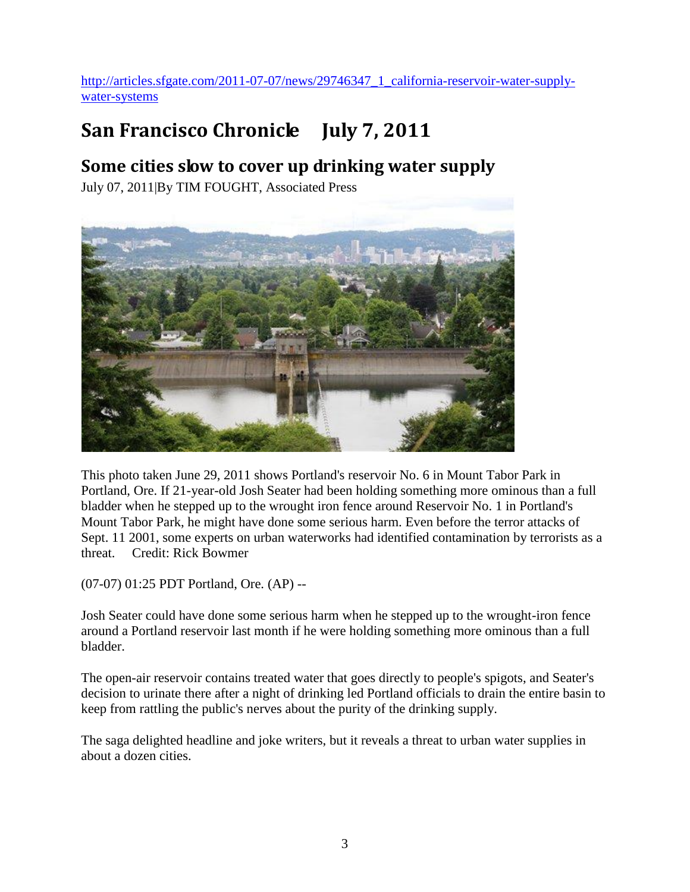[http://articles.sfgate.com/2011-07-07/news/29746347\\_1\\_california-reservoir-water-supply](http://articles.sfgate.com/2011-07-07/news/29746347_1_california-reservoir-water-supply-water-systems)[water-systems](http://articles.sfgate.com/2011-07-07/news/29746347_1_california-reservoir-water-supply-water-systems)

## **San Francisco Chronicle July 7, 2011**

## **Some cities slow to cover up drinking water supply**

July 07, 2011|By TIM FOUGHT, Associated Press



This photo taken June 29, 2011 shows Portland's reservoir No. 6 in Mount Tabor Park in Portland, Ore. If 21-year-old Josh Seater had been holding something more ominous than a full bladder when he stepped up to the wrought iron fence around Reservoir No. 1 in Portland's Mount Tabor Park, he might have done some serious harm. Even before the terror attacks of Sept. 11 2001, some experts on urban waterworks had identified contamination by terrorists as a threat. Credit: Rick Bowmer

(07-07) 01:25 PDT Portland, Ore. (AP) --

Josh Seater could have done some serious harm when he stepped up to the wrought-iron fence around a Portland reservoir last month if he were holding something more ominous than a full bladder.

The open-air reservoir contains treated water that goes directly to people's spigots, and Seater's decision to urinate there after a night of drinking led Portland officials to drain the entire basin to keep from rattling the public's nerves about the purity of the drinking supply.

The saga delighted headline and joke writers, but it reveals a threat to urban water supplies in about a dozen cities.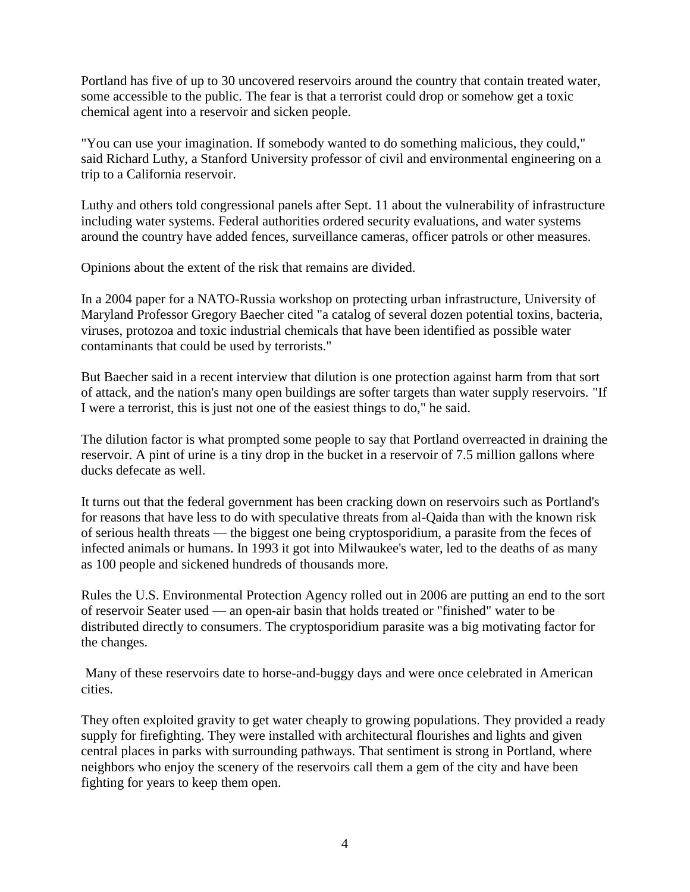Portland has five of up to 30 uncovered reservoirs around the country that contain treated water, some accessible to the public. The fear is that a terrorist could drop or somehow get a toxic chemical agent into a reservoir and sicken people.

"You can use your imagination. If somebody wanted to do something malicious, they could," said Richard Luthy, a Stanford University professor of civil and environmental engineering on a trip to a California reservoir.

Luthy and others told congressional panels after Sept. 11 about the vulnerability of infrastructure including water systems. Federal authorities ordered security evaluations, and water systems around the country have added fences, surveillance cameras, officer patrols or other measures.

Opinions about the extent of the risk that remains are divided.

In a 2004 paper for a NATO-Russia workshop on protecting urban infrastructure, University of Maryland Professor Gregory Baecher cited "a catalog of several dozen potential toxins, bacteria, viruses, protozoa and toxic industrial chemicals that have been identified as possible water contaminants that could be used by terrorists."

But Baecher said in a recent interview that dilution is one protection against harm from that sort of attack, and the nation's many open buildings are softer targets than water supply reservoirs. "If I were a terrorist, this is just not one of the easiest things to do," he said.

The dilution factor is what prompted some people to say that Portland overreacted in draining the reservoir. A pint of urine is a tiny drop in the bucket in a reservoir of 7.5 million gallons where ducks defecate as well.

It turns out that the federal government has been cracking down on reservoirs such as Portland's for reasons that have less to do with speculative threats from al-Qaida than with the known risk of serious health threats — the biggest one being cryptosporidium, a parasite from the feces of infected animals or humans. In 1993 it got into Milwaukee's water, led to the deaths of as many as 100 people and sickened hundreds of thousands more.

Rules the U.S. Environmental Protection Agency rolled out in 2006 are putting an end to the sort of reservoir Seater used — an open-air basin that holds treated or "finished" water to be distributed directly to consumers. The cryptosporidium parasite was a big motivating factor for the changes.

Many of these reservoirs date to horse-and-buggy days and were once celebrated in American cities.

They often exploited gravity to get water cheaply to growing populations. They provided a ready supply for firefighting. They were installed with architectural flourishes and lights and given central places in parks with surrounding pathways. That sentiment is strong in Portland, where neighbors who enjoy the scenery of the reservoirs call them a gem of the city and have been fighting for years to keep them open.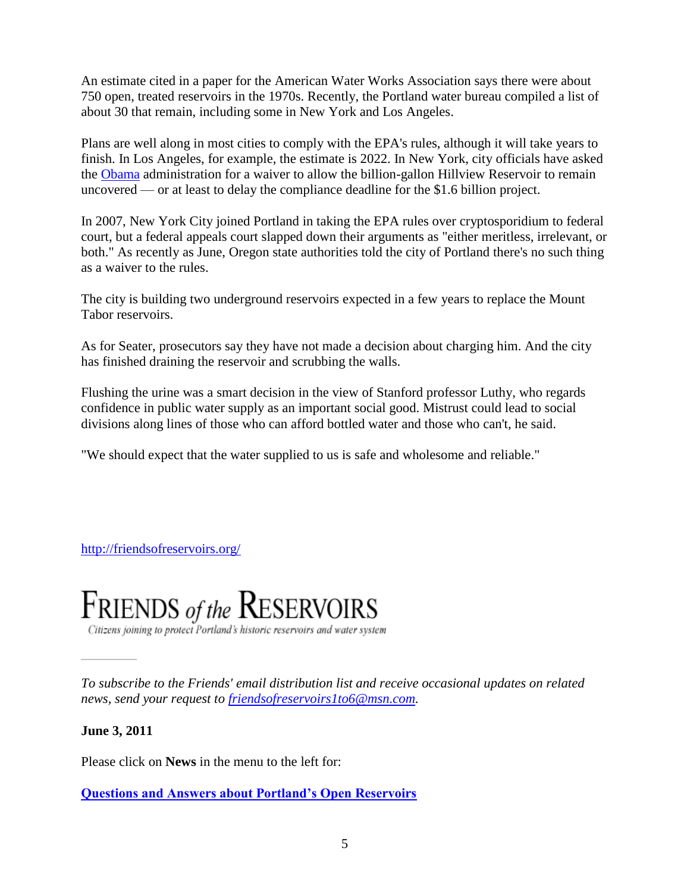An estimate cited in a paper for the American Water Works Association says there were about 750 open, treated reservoirs in the 1970s. Recently, the Portland water bureau compiled a list of about 30 that remain, including some in New York and Los Angeles.

Plans are well along in most cities to comply with the EPA's rules, although it will take years to finish. In Los Angeles, for example, the estimate is 2022. In New York, city officials have asked the [Obama](http://www.sfgate.com/barack-obama/) administration for a waiver to allow the billion-gallon Hillview Reservoir to remain uncovered — or at least to delay the compliance deadline for the \$1.6 billion project.

In 2007, New York City joined Portland in taking the EPA rules over cryptosporidium to federal court, but a federal appeals court slapped down their arguments as "either meritless, irrelevant, or both." As recently as June, Oregon state authorities told the city of Portland there's no such thing as a waiver to the rules.

The city is building two underground reservoirs expected in a few years to replace the Mount Tabor reservoirs.

As for Seater, prosecutors say they have not made a decision about charging him. And the city has finished draining the reservoir and scrubbing the walls.

Flushing the urine was a smart decision in the view of Stanford professor Luthy, who regards confidence in public water supply as an important social good. Mistrust could lead to social divisions along lines of those who can afford bottled water and those who can't, he said.

"We should expect that the water supplied to us is safe and wholesome and reliable."

<http://friendsofreservoirs.org/>



Citizens joining to protect Portland's historic reservoirs and water system

*To subscribe to the Friends' email distribution list and receive occasional updates on related news, send your request to [friendsofreservoirs1to6@msn.com.](mailto:friendsofreservoirs1to6@msn.com)*

**June 3, 2011**

Please click on **News** in the menu to the left for:

**[Questions and Answers about Portland's Open Reservoirs](http://friendsofreservoirs.org/news.html)**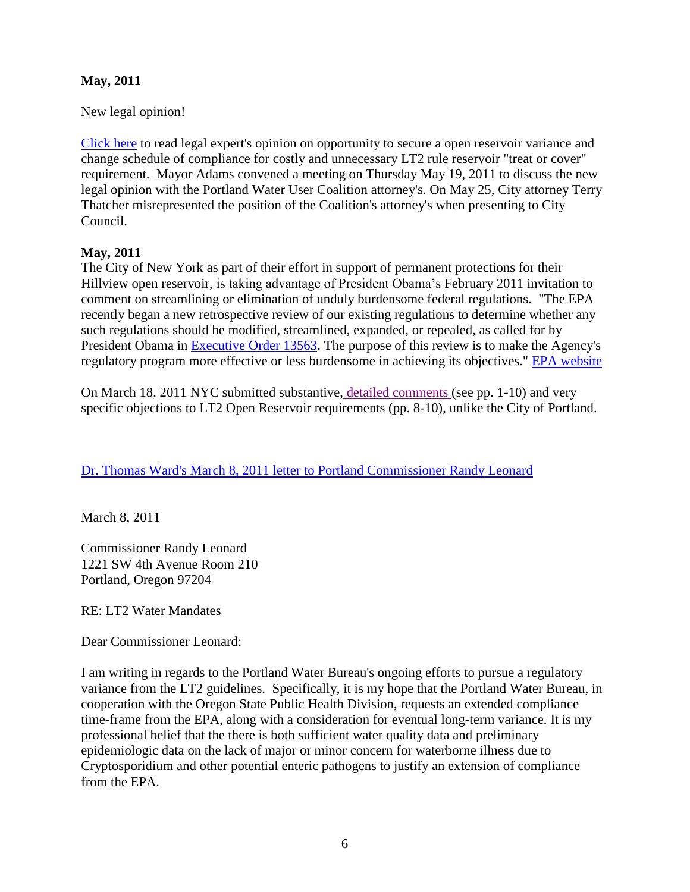## **May, 2011**

New legal opinion!

[Click here](https://docs.google.com/viewer?a=v&pid=explorer&chrome=true&srcid=0BzH1qBHNhE0_ZmYyYjI5MjEtNjU0MS00NDQzLThiYzQtNGFjMzFhNjBlNTM3&hl=en) to read legal expert's opinion on opportunity to secure a open reservoir variance and change schedule of compliance for costly and unnecessary LT2 rule reservoir "treat or cover" requirement. Mayor Adams convened a meeting on Thursday May 19, 2011 to discuss the new legal opinion with the Portland Water User Coalition attorney's. On May 25, City attorney Terry Thatcher misrepresented the position of the Coalition's attorney's when presenting to City Council.

## **May, 2011**

The City of New York as part of their effort in support of permanent protections for their Hillview open reservoir, is taking advantage of President Obama's February 2011 invitation to comment on streamlining or elimination of unduly burdensome federal regulations. "The EPA recently began a new retrospective review of our existing regulations to determine whether any such regulations should be modified, streamlined, expanded, or repealed, as called for by President Obama in [Executive Order 13563.](http://www.gpo.gov/fdsys/pkg/FR-2011-01-21/pdf/2011-1385.pdf) The purpose of this review is to make the Agency's regulatory program more effective or less burdensome in achieving its objectives." [EPA website](http://www.epa.gov/improvingregulations/)

On March 18, 2011 NYC submitted substantive, [detailed comments \(](https://docs.google.com/viewer?a=v&pid=explorer&chrome=true&srcid=0BzH1qBHNhE0_NTUzZDI4ZDMtNGJhYS00ZDA4LWJiYjctYmZmYWFlMjRmMmNi&hl=en)see pp. 1-10) and very specific objections to LT2 Open Reservoir requirements (pp. 8-10), unlike the City of Portland.

[Dr. Thomas Ward's March 8, 2011 letter to Portland Commissioner](http://friendsofreservoirs.org/DrThomasWard3_8_2011.pdf) Randy Leonard

March 8, 2011

Commissioner Randy Leonard 1221 SW 4th Avenue Room 210 Portland, Oregon 97204

RE: LT2 Water Mandates

Dear Commissioner Leonard:

I am writing in regards to the Portland Water Bureau's ongoing efforts to pursue a regulatory variance from the LT2 guidelines. Specifically, it is my hope that the Portland Water Bureau, in cooperation with the Oregon State Public Health Division, requests an extended compliance time-frame from the EPA, along with a consideration for eventual long-term variance. It is my professional belief that the there is both sufficient water quality data and preliminary epidemiologic data on the lack of major or minor concern for waterborne illness due to Cryptosporidium and other potential enteric pathogens to justify an extension of compliance from the EPA.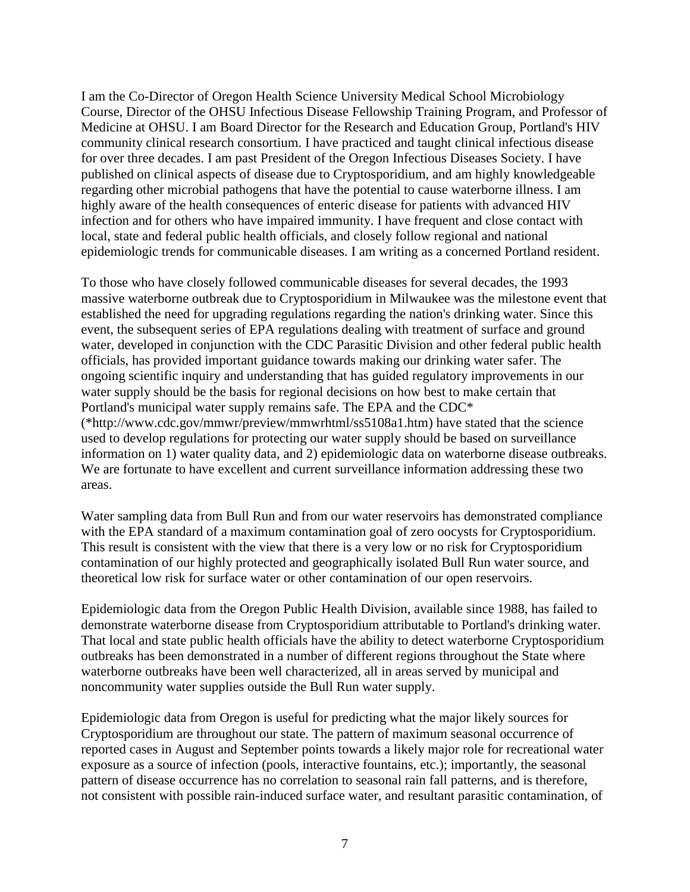I am the Co-Director of Oregon Health Science University Medical School Microbiology Course, Director of the OHSU Infectious Disease Fellowship Training Program, and Professor of Medicine at OHSU. I am Board Director for the Research and Education Group, Portland's HIV community clinical research consortium. I have practiced and taught clinical infectious disease for over three decades. I am past President of the Oregon Infectious Diseases Society. I have published on clinical aspects of disease due to Cryptosporidium, and am highly knowledgeable regarding other microbial pathogens that have the potential to cause waterborne illness. I am highly aware of the health consequences of enteric disease for patients with advanced HIV infection and for others who have impaired immunity. I have frequent and close contact with local, state and federal public health officials, and closely follow regional and national epidemiologic trends for communicable diseases. I am writing as a concerned Portland resident.

To those who have closely followed communicable diseases for several decades, the 1993 massive waterborne outbreak due to Cryptosporidium in Milwaukee was the milestone event that established the need for upgrading regulations regarding the nation's drinking water. Since this event, the subsequent series of EPA regulations dealing with treatment of surface and ground water, developed in conjunction with the CDC Parasitic Division and other federal public health officials, has provided important guidance towards making our drinking water safer. The ongoing scientific inquiry and understanding that has guided regulatory improvements in our water supply should be the basis for regional decisions on how best to make certain that Portland's municipal water supply remains safe. The EPA and the CDC\* (\*http://www.cdc.gov/mmwr/preview/mmwrhtml/ss5108a1.htm) have stated that the science used to develop regulations for protecting our water supply should be based on surveillance information on 1) water quality data, and 2) epidemiologic data on waterborne disease outbreaks. We are fortunate to have excellent and current surveillance information addressing these two areas.

Water sampling data from Bull Run and from our water reservoirs has demonstrated compliance with the EPA standard of a maximum contamination goal of zero oocysts for Cryptosporidium. This result is consistent with the view that there is a very low or no risk for Cryptosporidium contamination of our highly protected and geographically isolated Bull Run water source, and theoretical low risk for surface water or other contamination of our open reservoirs.

Epidemiologic data from the Oregon Public Health Division, available since 1988, has failed to demonstrate waterborne disease from Cryptosporidium attributable to Portland's drinking water. That local and state public health officials have the ability to detect waterborne Cryptosporidium outbreaks has been demonstrated in a number of different regions throughout the State where waterborne outbreaks have been well characterized, all in areas served by municipal and noncommunity water supplies outside the Bull Run water supply.

Epidemiologic data from Oregon is useful for predicting what the major likely sources for Cryptosporidium are throughout our state. The pattern of maximum seasonal occurrence of reported cases in August and September points towards a likely major role for recreational water exposure as a source of infection (pools, interactive fountains, etc.); importantly, the seasonal pattern of disease occurrence has no correlation to seasonal rain fall patterns, and is therefore, not consistent with possible rain-induced surface water, and resultant parasitic contamination, of